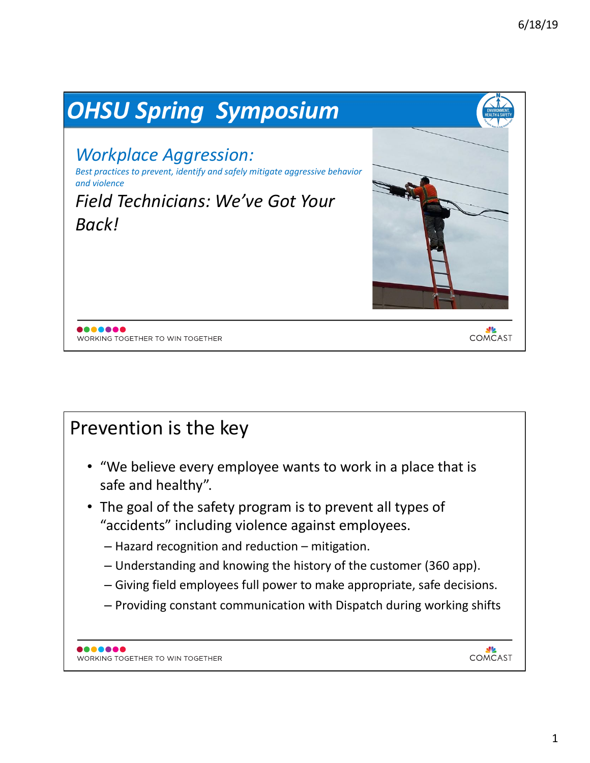

## Prevention is the key

- "We believe every employee wants to work in a place that is safe and healthy".
- The goal of the safety program is to prevent all types of "accidents" including violence against employees.
	- $-$  Hazard recognition and reduction  $-$  mitigation.
	- $-$  Understanding and knowing the history of the customer (360 app).
	- $-$  Giving field employees full power to make appropriate, safe decisions.
	- $-$  Providing constant communication with Dispatch during working shifts

COMCAST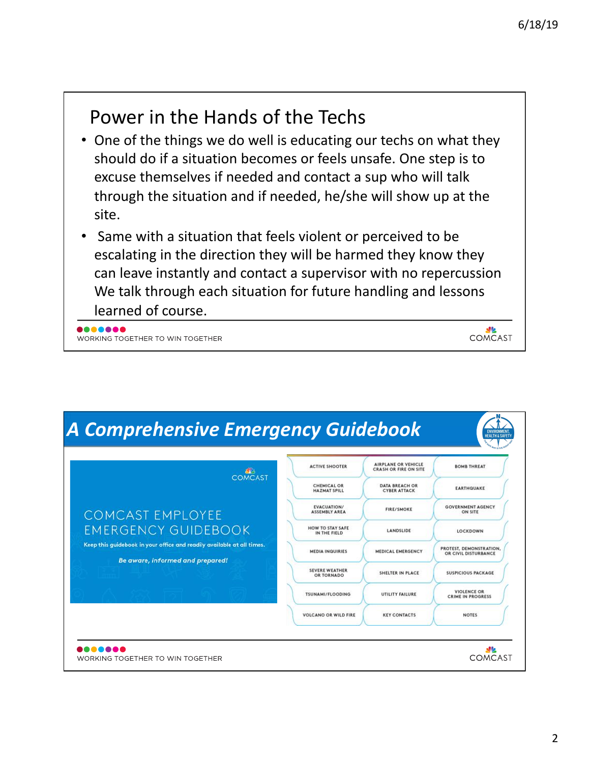COMCAST

## Power in the Hands of the Techs

- One of the things we do well is educating our techs on what they should do if a situation becomes or feels unsafe. One step is to excuse themselves if needed and contact a sup who will talk through the situation and if needed, he/she will show up at the site.
- Same with a situation that feels violent or perceived to be escalating in the direction they will be harmed they know they can leave instantly and contact a supervisor with no repercussion We talk through each situation for future handling and lessons learned of course.

8888888 WORKING TOGETHER TO WIN TOGETHER

| $40-$<br><b>COMCAST</b>                                                                                    | <b>ACTIVE SHOOTER</b>                      | <b>AIRPLANE OR VEHICLE</b><br><b>CRASH OR FIRE ON SITE</b> | <b>BOMB THREAT</b>                              |
|------------------------------------------------------------------------------------------------------------|--------------------------------------------|------------------------------------------------------------|-------------------------------------------------|
|                                                                                                            | <b>CHEMICAL OR</b><br><b>HAZMAT SPILL</b>  | <b>DATA BREACH OR</b><br><b>CYBER ATTACK</b>               | <b>EARTHQUAKE</b>                               |
| <b>COMCAST EMPLOYEE</b>                                                                                    | <b>EVACUATION/</b><br><b>ASSEMBLY AREA</b> | <b>FIRE/SMOKE</b>                                          | <b>GOVERNMENT AGENCY</b><br>ON SITE             |
| <b>EMERGENCY GUIDEBOOK</b>                                                                                 | HOW TO STAY SAFE<br>IN THE FIELD           | LANDSLIDE                                                  | LOCKDOWN                                        |
| Keep this guidebook in your office and readily available at all times.<br>Be aware, informed and prepared! | <b>MEDIA INQUIRIES</b>                     | <b>MEDICAL EMERGENCY</b>                                   | PROTEST, DEMONSTRATION,<br>OR CIVIL DISTURBANCE |
|                                                                                                            | <b>SEVERE WEATHER</b><br>OR TORNADO        | SHELTER IN PLACE                                           | <b>SUSPICIOUS PACKAGE</b>                       |
|                                                                                                            | <b>TSUNAMI/FLOODING</b>                    | UTILITY FAILURE                                            | <b>VIOLENCE OR</b><br><b>CRIME IN PROGRESS</b>  |
|                                                                                                            | <b>VOLCANO OR WILD FIRE</b>                | <b>KEY CONTACTS</b>                                        | <b>NOTES</b>                                    |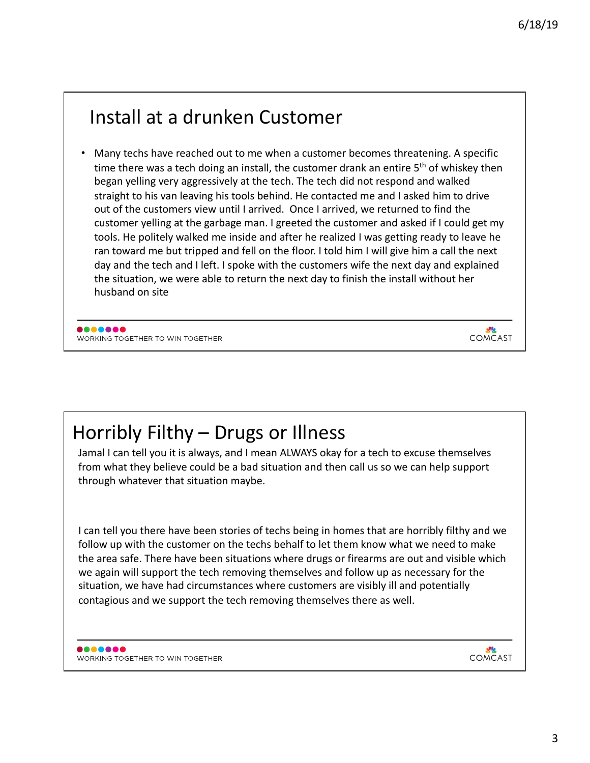## Install at a drunken Customer

Many techs have reached out to me when a customer becomes threatening. A specific time there was a tech doing an install, the customer drank an entire  $5<sup>th</sup>$  of whiskey then began yelling very aggressively at the tech. The tech did not respond and walked straight to his van leaving his tools behind. He contacted me and I asked him to drive out of the customers view until I arrived. Once I arrived, we returned to find the customer yelling at the garbage man. I greeted the customer and asked if I could get my tools. He politely walked me inside and after he realized I was getting ready to leave he ran toward me but tripped and fell on the floor. I told him I will give him a call the next day and the tech and I left. I spoke with the customers wife the next day and explained the situation, we were able to return the next day to finish the install without her husband on site

8888888 WORKING TOGETHER TO WIN TOGETHER

Horribly Filthy – Drugs or Illness

Jamal I can tell you it is always, and I mean ALWAYS okay for a tech to excuse themselves from what they believe could be a bad situation and then call us so we can help support through whatever that situation maybe.

I can tell you there have been stories of techs being in homes that are horribly filthy and we follow up with the customer on the techs behalf to let them know what we need to make the area safe. There have been situations where drugs or firearms are out and visible which we again will support the tech removing themselves and follow up as necessary for the situation, we have had circumstances where customers are visibly ill and potentially contagious and we support the tech removing themselves there as well.

<u>ale</u> COMCAST